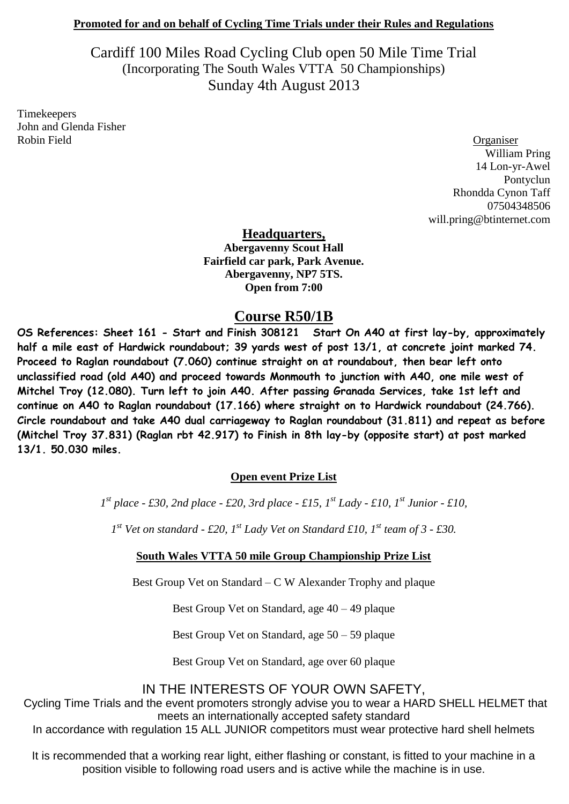#### **Promoted for and on behalf of Cycling Time Trials under their Rules and Regulations**

Cardiff 100 Miles Road Cycling Club open 50 Mile Time Trial (Incorporating The South Wales VTTA 50 Championships) Sunday 4th August 2013

Timekeepers John and Glenda Fisher Robin Field **Organiser** 

William Pring 14 Lon-yr-Awel Pontyclun Rhondda Cynon Taff 07504348506 will.pring@btinternet.com

**Headquarters,** 

**Abergavenny Scout Hall Fairfield car park, Park Avenue. Abergavenny, NP7 5TS. Open from 7:00**

## **Course R50/1B**

**OS References: Sheet 161 - Start and Finish 308121 Start On A40 at first lay-by, approximately half a mile east of Hardwick roundabout; 39 yards west of post 13/1, at concrete joint marked 74. Proceed to Raglan roundabout (7.060) continue straight on at roundabout, then bear left onto unclassified road (old A40) and proceed towards Monmouth to junction with A40, one mile west of Mitchel Troy (12.080). Turn left to join A40. After passing Granada Services, take 1st left and continue on A40 to Raglan roundabout (17.166) where straight on to Hardwick roundabout (24.766). Circle roundabout and take A40 dual carriageway to Raglan roundabout (31.811) and repeat as before (Mitchel Troy 37.831) (Raglan rbt 42.917) to Finish in 8th lay-by (opposite start) at post marked 13/1. 50.030 miles.**

#### **Open event Prize List**

*1 st place - £30, 2nd place - £20, 3rd place - £15, 1st Lady - £10, 1st Junior - £10,* 

*1 st Vet on standard - £20, 1st Lady Vet on Standard £10, 1st team of 3 - £30.*

#### **South Wales VTTA 50 mile Group Championship Prize List**

Best Group Vet on Standard – C W Alexander Trophy and plaque

Best Group Vet on Standard, age 40 – 49 plaque

Best Group Vet on Standard, age 50 – 59 plaque

Best Group Vet on Standard, age over 60 plaque

## IN THE INTERESTS OF YOUR OWN SAFETY,

Cycling Time Trials and the event promoters strongly advise you to wear a HARD SHELL HELMET that meets an internationally accepted safety standard

In accordance with regulation 15 ALL JUNIOR competitors must wear protective hard shell helmets

It is recommended that a working rear light, either flashing or constant, is fitted to your machine in a position visible to following road users and is active while the machine is in use.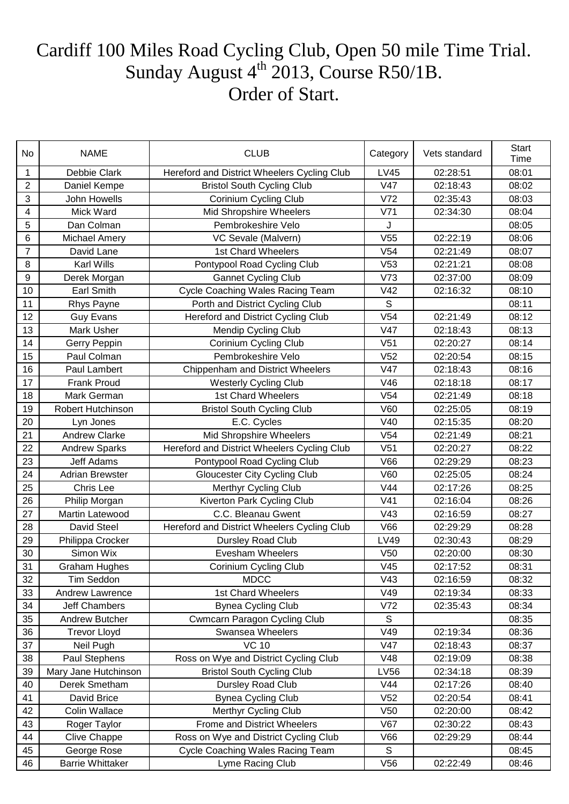# Cardiff 100 Miles Road Cycling Club, Open 50 mile Time Trial. Sunday August  $4^{th}$  2013, Course R50/1B. Order of Start.

| No             | <b>NAME</b>             | <b>CLUB</b>                                 | Category        | Vets standard | Start<br>Time |
|----------------|-------------------------|---------------------------------------------|-----------------|---------------|---------------|
| 1              | Debbie Clark            | Hereford and District Wheelers Cycling Club | <b>LV45</b>     | 02:28:51      | 08:01         |
| $\overline{2}$ | Daniel Kempe            | <b>Bristol South Cycling Club</b>           | V47             | 02:18:43      | 08:02         |
| 3              | John Howells            | Corinium Cycling Club                       | V <sub>72</sub> | 02:35:43      | 08:03         |
| 4              | Mick Ward               | Mid Shropshire Wheelers                     | V71             | 02:34:30      | 08:04         |
| 5              | Dan Colman              | Pembrokeshire Velo                          | J               |               | 08:05         |
| 6              | <b>Michael Amery</b>    | VC Sevale (Malvern)                         | V <sub>55</sub> | 02:22:19      | 08:06         |
| $\overline{7}$ | David Lane              | 1st Chard Wheelers                          | V <sub>54</sub> | 02:21:49      | 08:07         |
| 8              | <b>Karl Wills</b>       | Pontypool Road Cycling Club                 | V53             | 02:21:21      | 08:08         |
| 9              | Derek Morgan            | <b>Gannet Cycling Club</b>                  | V73             | 02:37:00      | 08:09         |
| 10             | Earl Smith              | <b>Cycle Coaching Wales Racing Team</b>     | V42             | 02:16:32      | 08:10         |
| 11             | Rhys Payne              | Porth and District Cycling Club             | S               |               | 08:11         |
| 12             | <b>Guy Evans</b>        | Hereford and District Cycling Club          | V <sub>54</sub> | 02:21:49      | 08:12         |
| 13             | Mark Usher              | Mendip Cycling Club                         | V47             | 02:18:43      | 08:13         |
| 14             | Gerry Peppin            | <b>Corinium Cycling Club</b>                | V <sub>51</sub> | 02:20:27      | 08:14         |
| 15             | Paul Colman             | Pembrokeshire Velo                          | V <sub>52</sub> | 02:20:54      | 08:15         |
| 16             | Paul Lambert            | Chippenham and District Wheelers            | V47             | 02:18:43      | 08:16         |
| 17             | <b>Frank Proud</b>      | <b>Westerly Cycling Club</b>                | V46             | 02:18:18      | 08:17         |
| 18             | Mark German             | 1st Chard Wheelers                          | V <sub>54</sub> | 02:21:49      | 08:18         |
| 19             | Robert Hutchinson       | <b>Bristol South Cycling Club</b>           | V60             | 02:25:05      | 08:19         |
| 20             | Lyn Jones               | E.C. Cycles                                 | V40             | 02:15:35      | 08:20         |
| 21             | <b>Andrew Clarke</b>    | Mid Shropshire Wheelers                     | V <sub>54</sub> | 02:21:49      | 08:21         |
| 22             | <b>Andrew Sparks</b>    | Hereford and District Wheelers Cycling Club | V <sub>51</sub> | 02:20:27      | 08:22         |
| 23             | <b>Jeff Adams</b>       | Pontypool Road Cycling Club                 | V66             | 02:29:29      | 08:23         |
| 24             | <b>Adrian Brewster</b>  | <b>Gloucester City Cycling Club</b>         | V60             | 02:25:05      | 08:24         |
| 25             | Chris Lee               | <b>Merthyr Cycling Club</b>                 | V44             | 02:17:26      | 08:25         |
| 26             | Philip Morgan           | Kiverton Park Cycling Club                  | V <sub>41</sub> | 02:16:04      | 08:26         |
| 27             | Martin Latewood         | C.C. Bleanau Gwent                          | V43             | 02:16:59      | 08:27         |
| 28             | David Steel             | Hereford and District Wheelers Cycling Club | V66             | 02:29:29      | 08:28         |
| 29             | Philippa Crocker        | Dursley Road Club                           | LV49            | 02:30:43      | 08:29         |
| 30             | Simon Wix               | Evesham Wheelers                            | V <sub>50</sub> | 02:20:00      | 08:30         |
| 31             | <b>Graham Hughes</b>    | Corinium Cycling Club                       | V45             | 02:17:52      | 08:31         |
| 32             | Tim Seddon              | <b>MDCC</b>                                 | V43             | 02:16:59      | 08:32         |
| 33             | Andrew Lawrence         | 1st Chard Wheelers                          | V49             | 02:19:34      | 08:33         |
| 34             | <b>Jeff Chambers</b>    | <b>Bynea Cycling Club</b>                   | V72             | 02:35:43      | 08:34         |
| 35             | Andrew Butcher          | <b>Cwmcarn Paragon Cycling Club</b>         | S               |               | 08:35         |
| 36             | <b>Trevor Lloyd</b>     | Swansea Wheelers                            | V49             | 02:19:34      | 08:36         |
| 37             | Neil Pugh               | <b>VC 10</b>                                | V47             | 02:18:43      | 08:37         |
| 38             | Paul Stephens           | Ross on Wye and District Cycling Club       | V48             | 02:19:09      | 08:38         |
| 39             | Mary Jane Hutchinson    | <b>Bristol South Cycling Club</b>           | LV56            | 02:34:18      | 08:39         |
| 40             | Derek Smetham           | Dursley Road Club                           | V44             | 02:17:26      | 08:40         |
| 41             | David Brice             | <b>Bynea Cycling Club</b>                   | V <sub>52</sub> | 02:20:54      | 08:41         |
| 42             | Colin Wallace           | <b>Merthyr Cycling Club</b>                 | V50             | 02:20:00      | 08:42         |
| 43             | Roger Taylor            | <b>Frome and District Wheelers</b>          | V67             | 02:30:22      | 08:43         |
| 44             | Clive Chappe            | Ross on Wye and District Cycling Club       | <b>V66</b>      | 02:29:29      | 08:44         |
| 45             | George Rose             | Cycle Coaching Wales Racing Team            | S               |               | 08:45         |
| 46             | <b>Barrie Whittaker</b> | Lyme Racing Club                            | V <sub>56</sub> | 02:22:49      | 08:46         |